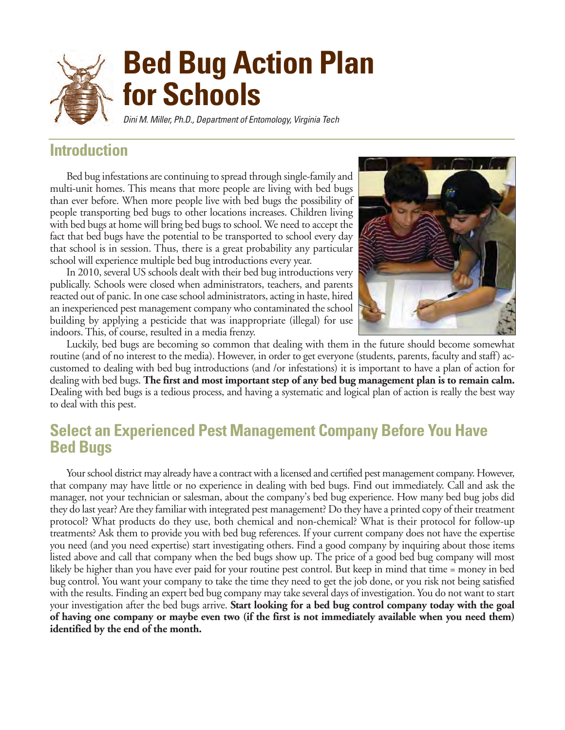

## **Introduction**

Bed bug infestations are continuing to spread through single-family and multi-unit homes. This means that more people are living with bed bugs than ever before. When more people live with bed bugs the possibility of people transporting bed bugs to other locations increases. Children living with bed bugs at home will bring bed bugs to school. We need to accept the fact that bed bugs have the potential to be transported to school every day that school is in session. Thus, there is a great probability any particular school will experience multiple bed bug introductions every year.

In 2010, several US schools dealt with their bed bug introductions very publically. Schools were closed when administrators, teachers, and parents reacted out of panic. In one case school administrators, acting in haste, hired an inexperienced pest management company who contaminated the school building by applying a pesticide that was inappropriate (illegal) for use indoors. This, of course, resulted in a media frenzy.



Luckily, bed bugs are becoming so common that dealing with them in the future should become somewhat routine (and of no interest to the media). However, in order to get everyone (students, parents, faculty and staff) accustomed to dealing with bed bug introductions (and /or infestations) it is important to have a plan of action for dealing with bed bugs. **The first and most important step of any bed bug management plan is to remain calm.** Dealing with bed bugs is a tedious process, and having a systematic and logical plan of action is really the best way to deal with this pest.

## **Select an Experienced Pest Management Company Before You Have Bed Bugs**

Your school district may already have a contract with a licensed and certified pest management company. However, that company may have little or no experience in dealing with bed bugs. Find out immediately. Call and ask the manager, not your technician or salesman, about the company's bed bug experience. How many bed bug jobs did they do last year? Are they familiar with integrated pest management? Do they have a printed copy of their treatment protocol? What products do they use, both chemical and non-chemical? What is their protocol for follow-up treatments? Ask them to provide you with bed bug references. If your current company does not have the expertise you need (and you need expertise) start investigating others. Find a good company by inquiring about those items listed above and call that company when the bed bugs show up. The price of a good bed bug company will most likely be higher than you have ever paid for your routine pest control. But keep in mind that time = money in bed bug control. You want your company to take the time they need to get the job done, or you risk not being satisfied with the results. Finding an expert bed bug company may take several days of investigation. You do not want to start your investigation after the bed bugs arrive. **Start looking for a bed bug control company today with the goal of having one company or maybe even two (if the first is not immediately available when you need them) identified by the end of the month.**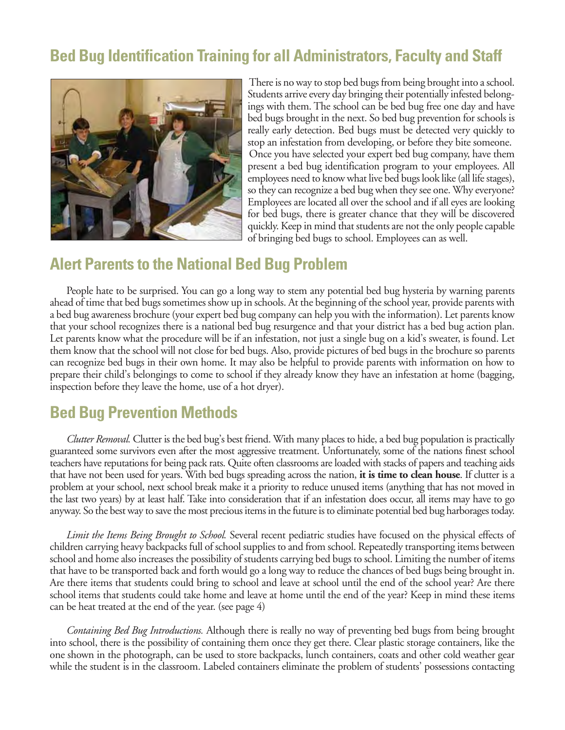# **Bed Bug Identification Training for all Administrators, Faculty and Staff**



There is no way to stop bed bugs from being brought into a school. Students arrive every day bringing their potentially infested belongings with them. The school can be bed bug free one day and have bed bugs brought in the next. So bed bug prevention for schools is really early detection. Bed bugs must be detected very quickly to stop an infestation from developing, or before they bite someone. Once you have selected your expert bed bug company, have them present a bed bug identification program to your employees. All employees need to know what live bed bugs look like (all life stages), so they can recognize a bed bug when they see one. Why everyone? Employees are located all over the school and if all eyes are looking for bed bugs, there is greater chance that they will be discovered quickly. Keep in mind that students are not the only people capable of bringing bed bugs to school. Employees can as well.

### **Alert Parents to the National Bed Bug Problem**

People hate to be surprised. You can go a long way to stem any potential bed bug hysteria by warning parents ahead of time that bed bugs sometimes show up in schools. At the beginning of the school year, provide parents with a bed bug awareness brochure (your expert bed bug company can help you with the information). Let parents know that your school recognizes there is a national bed bug resurgence and that your district has a bed bug action plan. Let parents know what the procedure will be if an infestation, not just a single bug on a kid's sweater, is found. Let them know that the school will not close for bed bugs. Also, provide pictures of bed bugs in the brochure so parents can recognize bed bugs in their own home. It may also be helpful to provide parents with information on how to prepare their child's belongings to come to school if they already know they have an infestation at home (bagging, inspection before they leave the home, use of a hot dryer).

## **Bed Bug Prevention Methods**

*Clutter Removal.* Clutter is the bed bug's best friend. With many places to hide, a bed bug population is practically guaranteed some survivors even after the most aggressive treatment. Unfortunately, some of the nations finest school teachers have reputations for being pack rats. Quite often classrooms are loaded with stacks of papers and teaching aids that have not been used for years. With bed bugs spreading across the nation, **it is time to clean house**. If clutter is a problem at your school, next school break make it a priority to reduce unused items (anything that has not moved in the last two years) by at least half. Take into consideration that if an infestation does occur, all items may have to go anyway. So the best way to save the most precious items in the future is to eliminate potential bed bug harborages today.

*Limit the Items Being Brought to School.* Several recent pediatric studies have focused on the physical effects of children carrying heavy backpacks full of school supplies to and from school. Repeatedly transporting items between school and home also increases the possibility of students carrying bed bugs to school. Limiting the number of items that have to be transported back and forth would go a long way to reduce the chances of bed bugs being brought in. Are there items that students could bring to school and leave at school until the end of the school year? Are there school items that students could take home and leave at home until the end of the year? Keep in mind these items can be heat treated at the end of the year. (see page 4)

*Containing Bed Bug Introductions.* Although there is really no way of preventing bed bugs from being brought into school, there is the possibility of containing them once they get there. Clear plastic storage containers, like the one shown in the photograph, can be used to store backpacks, lunch containers, coats and other cold weather gear while the student is in the classroom. Labeled containers eliminate the problem of students' possessions contacting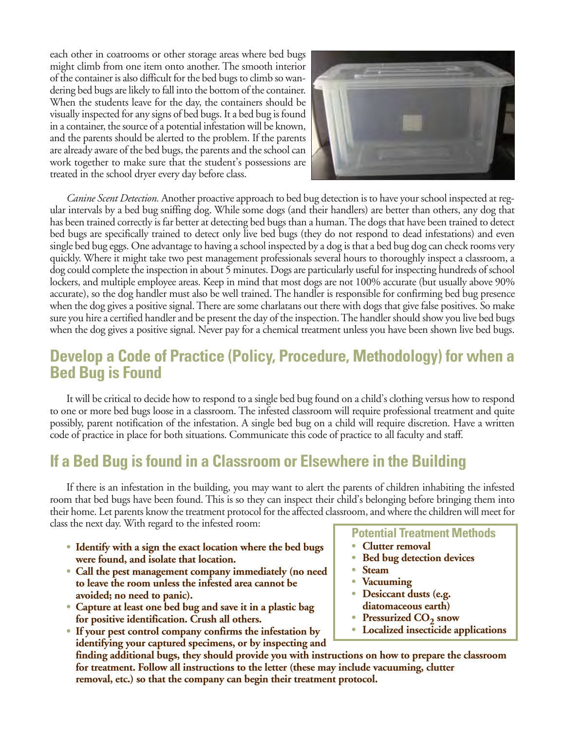each other in coatrooms or other storage areas where bed bugs might climb from one item onto another. The smooth interior of the container is also difficult for the bed bugs to climb so wandering bed bugs are likely to fall into the bottom of the container. When the students leave for the day, the containers should be visually inspected for any signs of bed bugs. It a bed bug is found in a container, the source of a potential infestation will be known, and the parents should be alerted to the problem. If the parents are already aware of the bed bugs, the parents and the school can work together to make sure that the student's possessions are treated in the school dryer every day before class.



*Canine Scent Detection.* Another proactive approach to bed bug detection is to have your school inspected at regular intervals by a bed bug sniffing dog. While some dogs (and their handlers) are better than others, any dog that has been trained correctly is far better at detecting bed bugs than a human. The dogs that have been trained to detect bed bugs are specifically trained to detect only live bed bugs (they do not respond to dead infestations) and even single bed bug eggs. One advantage to having a school inspected by a dog is that a bed bug dog can check rooms very quickly. Where it might take two pest management professionals several hours to thoroughly inspect a classroom, a dog could complete the inspection in about 5 minutes. Dogs are particularly useful for inspecting hundreds of school lockers, and multiple employee areas. Keep in mind that most dogs are not 100% accurate (but usually above 90% accurate), so the dog handler must also be well trained. The handler is responsible for confirming bed bug presence when the dog gives a positive signal. There are some charlatans out there with dogs that give false positives. So make sure you hire a certified handler and be present the day of the inspection. The handler should show you live bed bugs when the dog gives a positive signal. Never pay for a chemical treatment unless you have been shown live bed bugs.

## **Develop a Code of Practice (Policy, Procedure, Methodology) for when a Bed Bug is Found**

It will be critical to decide how to respond to a single bed bug found on a child's clothing versus how to respond to one or more bed bugs loose in a classroom. The infested classroom will require professional treatment and quite possibly, parent notification of the infestation. A single bed bug on a child will require discretion. Have a written code of practice in place for both situations. Communicate this code of practice to all faculty and staff.

## **If a Bed Bug is found in a Classroom or Elsewhere in the Building**

If there is an infestation in the building, you may want to alert the parents of children inhabiting the infested room that bed bugs have been found. This is so they can inspect their child's belonging before bringing them into their home. Let parents know the treatment protocol for the affected classroom, and where the children will meet for class the next day. With regard to the infested room:

- **• Identify with a sign the exact location where the bed bugs were found, and isolate that location.**
- **• Call the pest management company immediately (no need to leave the room unless the infested area cannot be avoided; no need to panic).**
- **• Capture at least one bed bug and save it in a plastic bag for positive identification. Crush all others.**
- **• If your pest control company confirms the infestation by identifying your captured specimens, or by inspecting and**

**finding additional bugs, they should provide you with instructions on how to prepare the classroom for treatment. Follow all instructions to the letter (these may include vacuuming, clutter removal, etc.) so that the company can begin their treatment protocol.** 

### **Potential Treatment Methods**

- **• Clutter removal**
- **• Bed bug detection devices**
- **• Steam**
- **• Vacuuming**
- **• Desiccant dusts (e.g. diatomaceous earth)**
- **Pressurized CO<sub>2</sub> snow**
- **• Localized insecticide applications**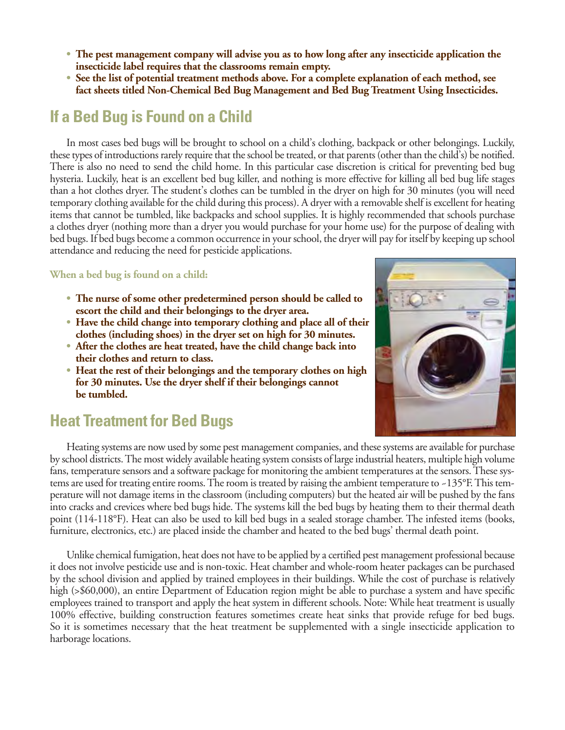- **• The pest management company will advise you as to how long after any insecticide application the insecticide label requires that the classrooms remain empty.**
- **• See the list of potential treatment methods above. For a complete explanation of each method, see fact sheets titled Non-Chemical Bed Bug Management and Bed Bug Treatment Using Insecticides.**

# **If a Bed Bug is Found on a Child**

In most cases bed bugs will be brought to school on a child's clothing, backpack or other belongings. Luckily, these types of introductions rarely require that the school be treated, or that parents (other than the child's) be notified. There is also no need to send the child home. In this particular case discretion is critical for preventing bed bug hysteria. Luckily, heat is an excellent bed bug killer, and nothing is more effective for killing all bed bug life stages than a hot clothes dryer. The student's clothes can be tumbled in the dryer on high for 30 minutes (you will need temporary clothing available for the child during this process). A dryer with a removable shelf is excellent for heating items that cannot be tumbled, like backpacks and school supplies. It is highly recommended that schools purchase a clothes dryer (nothing more than a dryer you would purchase for your home use) for the purpose of dealing with bed bugs. If bed bugs become a common occurrence in your school, the dryer will pay for itself by keeping up school attendance and reducing the need for pesticide applications.

#### **When a bed bug is found on a child:**

- **• The nurse of some other predetermined person should be called to escort the child and their belongings to the dryer area.**
- **• Have the child change into temporary clothing and place all of their clothes (including shoes) in the dryer set on high for 30 minutes.**
- **• After the clothes are heat treated, have the child change back into their clothes and return to class.**
- **• Heat the rest of their belongings and the temporary clothes on high for 30 minutes. Use the dryer shelf if their belongings cannot be tumbled.**



Heating systems are now used by some pest management companies, and these systems are available for purchase by school districts. The most widely available heating system consists of large industrial heaters, multiple high volume fans, temperature sensors and a software package for monitoring the ambient temperatures at the sensors. These systems are used for treating entire rooms. The room is treated by raising the ambient temperature to ~135°F. This temperature will not damage items in the classroom (including computers) but the heated air will be pushed by the fans into cracks and crevices where bed bugs hide. The systems kill the bed bugs by heating them to their thermal death point (114-118°F). Heat can also be used to kill bed bugs in a sealed storage chamber. The infested items (books, furniture, electronics, etc.) are placed inside the chamber and heated to the bed bugs' thermal death point.

Unlike chemical fumigation, heat does not have to be applied by a certified pest management professional because it does not involve pesticide use and is non-toxic. Heat chamber and whole-room heater packages can be purchased by the school division and applied by trained employees in their buildings. While the cost of purchase is relatively high (>\$60,000), an entire Department of Education region might be able to purchase a system and have specific employees trained to transport and apply the heat system in different schools. Note: While heat treatment is usually 100% effective, building construction features sometimes create heat sinks that provide refuge for bed bugs. So it is sometimes necessary that the heat treatment be supplemented with a single insecticide application to harborage locations.